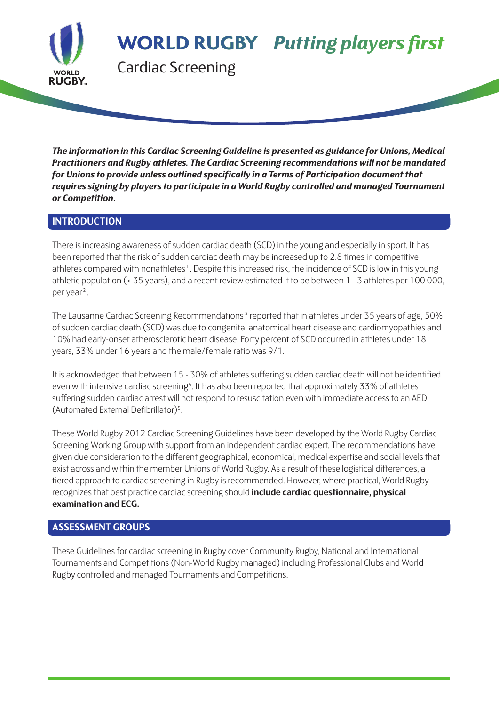**WORLD RUGBY Putting players first** 

Cardiac Screening

*The information in this Cardiac Screening Guideline is presented as guidance for Unions, Medical Practitioners and Rugby athletes. The Cardiac Screening recommendations will not be mandated for Unions to provide unless outlined specifically in a Terms of Participation document that requires signing by players to participate in a World Rugby controlled and managed Tournament or Competition.*

#### **INTRODUCTION**

**RUGBY** 

There is increasing awareness of sudden cardiac death (SCD) in the young and especially in sport. It has been reported that the risk of sudden cardiac death may be increased up to 2.8 times in competitive athletes compared with nonathletes<sup>1</sup>. Despite this increased risk, the incidence of SCD is low in this young athletic population (< 35 years), and a recent review estimated it to be between 1 - 3 athletes per 100 000, per year².

The Lausanne Cardiac Screening Recommendations<sup>3</sup> reported that in athletes under 35 years of age, 50% of sudden cardiac death (SCD) was due to congenital anatomical heart disease and cardiomyopathies and 10% had early-onset atherosclerotic heart disease. Forty percent of SCD occurred in athletes under 18 years, 33% under 16 years and the male/female ratio was 9/1.

It is acknowledged that between 15 - 30% of athletes suffering sudden cardiac death will not be identified even with intensive cardiac screening<sup>4</sup>. It has also been reported that approximately 33% of athletes suffering sudden cardiac arrest will not respond to resuscitation even with immediate access to an AED (Automated External Defibrillator)5.

These World Rugby 2012 Cardiac Screening Guidelines have been developed by the World Rugby Cardiac Screening Working Group with support from an independent cardiac expert. The recommendations have given due consideration to the different geographical, economical, medical expertise and social levels that exist across and within the member Unions of World Rugby. As a result of these logistical differences, a tiered approach to cardiac screening in Rugby is recommended. However, where practical, World Rugby recognizes that best practice cardiac screening should **include cardiac questionnaire, physical examination and ECG.**

#### **ASSESSMENT GROUPS**

These Guidelines for cardiac screening in Rugby cover Community Rugby, National and International Tournaments and Competitions (Non-World Rugby managed) including Professional Clubs and World Rugby controlled and managed Tournaments and Competitions.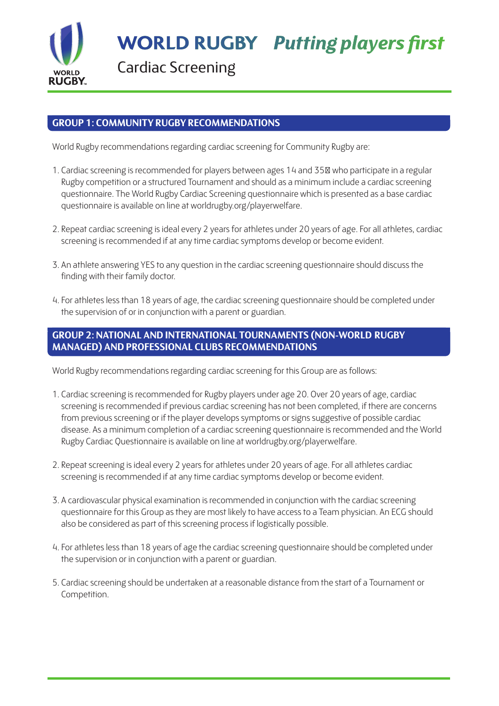

Cardiac Screening

#### **GROUP 1: COMMUNITY RUGBY RECOMMENDATIONS**

World Rugby recommendations regarding cardiac screening for Community Rugby are:

- 1. Cardiac screening is recommended for players between ages 14 and 35 who participate in a regular Rugby competition or a structured Tournament and should as a minimum include a cardiac screening questionnaire. The World Rugby Cardiac Screening questionnaire which is presented as a base cardiac questionnaire is available on line at worldrugby.org/playerwelfare.
- 2. Repeat cardiac screening is ideal every 2 years for athletes under 20 years of age. For all athletes, cardiac screening is recommended if at any time cardiac symptoms develop or become evident.
- 3. An athlete answering YES to any question in the cardiac screening questionnaire should discuss the finding with their family doctor.
- 4. For athletes less than 18 years of age, the cardiac screening questionnaire should be completed under the supervision of or in conjunction with a parent or guardian.

#### **GROUP 2: NATIONAL AND INTERNATIONAL TOURNAMENTS (NON-WORLD RUGBY MANAGED) AND PROFESSIONAL CLUBS RECOMMENDATIONS**

World Rugby recommendations regarding cardiac screening for this Group are as follows:

- 1. Cardiac screening is recommended for Rugby players under age 20. Over 20 years of age, cardiac screening is recommended if previous cardiac screening has not been completed, if there are concerns from previous screening or if the player develops symptoms or signs suggestive of possible cardiac disease. As a minimum completion of a cardiac screening questionnaire is recommended and the World Rugby Cardiac Questionnaire is available on line at worldrugby.org/playerwelfare.
- 2. Repeat screening is ideal every 2 years for athletes under 20 years of age. For all athletes cardiac screening is recommended if at any time cardiac symptoms develop or become evident.
- 3. A cardiovascular physical examination is recommended in conjunction with the cardiac screening questionnaire for this Group as they are most likely to have access to a Team physician. An ECG should also be considered as part of this screening process if logistically possible.
- 4. For athletes less than 18 years of age the cardiac screening questionnaire should be completed under the supervision or in conjunction with a parent or guardian.
- 5. Cardiac screening should be undertaken at a reasonable distance from the start of a Tournament or Competition.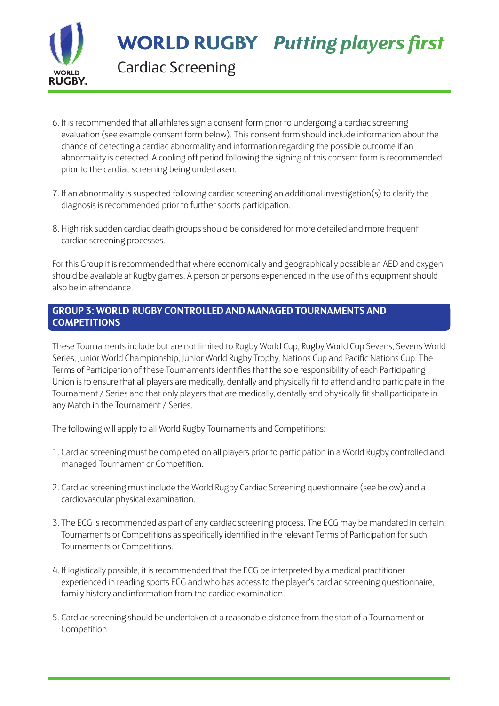

Cardiac Screening

- 6. It is recommended that all athletes sign a consent form prior to undergoing a cardiac screening evaluation (see example consent form below). This consent form should include information about the chance of detecting a cardiac abnormality and information regarding the possible outcome if an abnormality is detected. A cooling off period following the signing of this consent form is recommended prior to the cardiac screening being undertaken.
- 7. If an abnormality is suspected following cardiac screening an additional investigation(s) to clarify the diagnosis is recommended prior to further sports participation.
- 8. High risk sudden cardiac death groups should be considered for more detailed and more frequent cardiac screening processes.

For this Group it is recommended that where economically and geographically possible an AED and oxygen should be available at Rugby games. A person or persons experienced in the use of this equipment should also be in attendance.

#### **GROUP 3: WORLD RUGBY CONTROLLED AND MANAGED TOURNAMENTS AND COMPETITIONS**

These Tournaments include but are not limited to Rugby World Cup, Rugby World Cup Sevens, Sevens World Series, Junior World Championship, Junior World Rugby Trophy, Nations Cup and Pacific Nations Cup. The Terms of Participation of these Tournaments identifies that the sole responsibility of each Participating Union is to ensure that all players are medically, dentally and physically fit to attend and to participate in the Tournament / Series and that only players that are medically, dentally and physically fit shall participate in any Match in the Tournament / Series.

The following will apply to all World Rugby Tournaments and Competitions:

- 1. Cardiac screening must be completed on all players prior to participation in a World Rugby controlled and managed Tournament or Competition.
- 2. Cardiac screening must include the World Rugby Cardiac Screening questionnaire (see below) and a cardiovascular physical examination.
- 3. The ECG is recommended as part of any cardiac screening process. The ECG may be mandated in certain Tournaments or Competitions as specifically identified in the relevant Terms of Participation for such Tournaments or Competitions.
- 4. If logistically possible, it is recommended that the ECG be interpreted by a medical practitioner experienced in reading sports ECG and who has access to the player's cardiac screening questionnaire, family history and information from the cardiac examination.
- 5. Cardiac screening should be undertaken at a reasonable distance from the start of a Tournament or Competition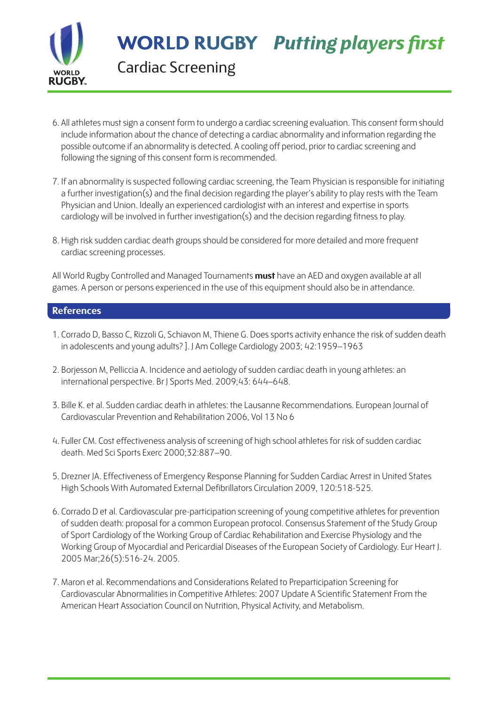

Cardiac Screening

- 6. All athletes must sign a consent form to undergo a cardiac screening evaluation. This consent form should include information about the chance of detecting a cardiac abnormality and information regarding the possible outcome if an abnormality is detected. A cooling off period, prior to cardiac screening and following the signing of this consent form is recommended.
- 7. If an abnormality is suspected following cardiac screening, the Team Physician is responsible for initiating a further investigation(s) and the final decision regarding the player's ability to play rests with the Team Physician and Union. Ideally an experienced cardiologist with an interest and expertise in sports cardiology will be involved in further investigation(s) and the decision regarding fitness to play.
- 8. High risk sudden cardiac death groups should be considered for more detailed and more frequent cardiac screening processes.

All World Rugby Controlled and Managed Tournaments **must** have an AED and oxygen available at all games. A person or persons experienced in the use of this equipment should also be in attendance.

#### **References**

- 1. Corrado D, Basso C, Rizzoli G, Schiavon M, Thiene G. Does sports activity enhance the risk of sudden death in adolescents and young adults? ]. J Am College Cardiology 2003; 42:1959–1963
- 2. Borjesson M, Pelliccia A. Incidence and aetiology of sudden cardiac death in young athletes: an international perspective. Br J Sports Med. 2009;43: 644–648.
- 3. Bille K. et al. Sudden cardiac death in athletes: the Lausanne Recommendations. European Journal of Cardiovascular Prevention and Rehabilitation 2006, Vol 13 No 6
- 4. Fuller CM. Cost effectiveness analysis of screening of high school athletes for risk of sudden cardiac death. Med Sci Sports Exerc 2000;32:887–90.
- 5. Drezner JA. Effectiveness of Emergency Response Planning for Sudden Cardiac Arrest in United States High Schools With Automated External Defibrillators Circulation 2009, 120:518-525.
- 6. Corrado D et al. Cardiovascular pre-participation screening of young competitive athletes for prevention of sudden death: proposal for a common European protocol. Consensus Statement of the Study Group of Sport Cardiology of the Working Group of Cardiac Rehabilitation and Exercise Physiology and the Working Group of Myocardial and Pericardial Diseases of the European Society of Cardiology. Eur Heart J. 2005 Mar;26(5):516-24. 2005.
- 7. Maron et al. Recommendations and Considerations Related to Preparticipation Screening for Cardiovascular Abnormalities in Competitive Athletes: 2007 Update A Scientific Statement From the American Heart Association Council on Nutrition, Physical Activity, and Metabolism.